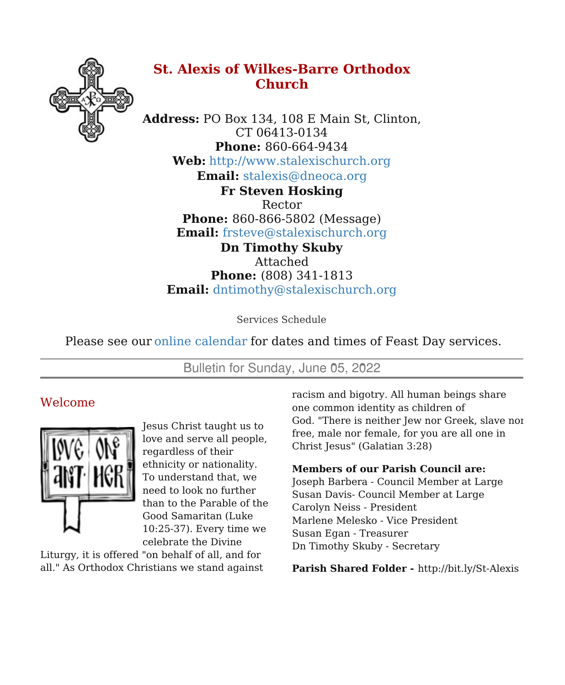

# **St. Alexis of Wilkes-Barre Orthodox Church**

**Address:** PO Box 134, 108 E Main St, Clinton, CT 06413-0134 **Phone:** 860-664-9434 **Web:** <http://www.stalexischurch.org> **Email:** [stalexis@dneoca.org](mailto:stalexis@dneoca.org) **Fr Steven Hosking** Rector **Phone:** 860-866-5802 (Message)

**Email:** [frsteve@stalexischurch.org](mailto:frsteve@stalexischurch.org) **Dn Timothy Skuby** Attached **Phone:** (808) 341-1813 **Email:** [dntimothy@stalexischurch.org](mailto:dntimothy@stalexischurch.org)

Services Schedule

Please see our online [calendar](http://stalexischurch.org/schedule.html) for dates and times of Feast Day services.

Bulletin for Sunday, June 05, 2022

# Welcome



Jesus Christ taught us to love and serve all people, regardless of their ethnicity or nationality. To understand that, we need to look no further than to the Parable of the Good Samaritan (Luke 10:25-37). Every time we celebrate the Divine

Liturgy, it is offered "on behalf of all, and for all." As Orthodox Christians we stand against racism and bigotry. All human beings share one common identity as children of God. "There is neither Jew nor Greek, slave nor free, male nor female, for you are all one in Christ Jesus" (Galatian 3:28)

## **Members of our Parish Council are:**

Joseph Barbera - Council Member at Large Susan Davis- Council Member at Large Carolyn Neiss - President Marlene Melesko - Vice President Susan Egan - Treasurer Dn Timothy Skuby - Secretary

**Parish Shared Folder -** http://bit.ly/St-Alexis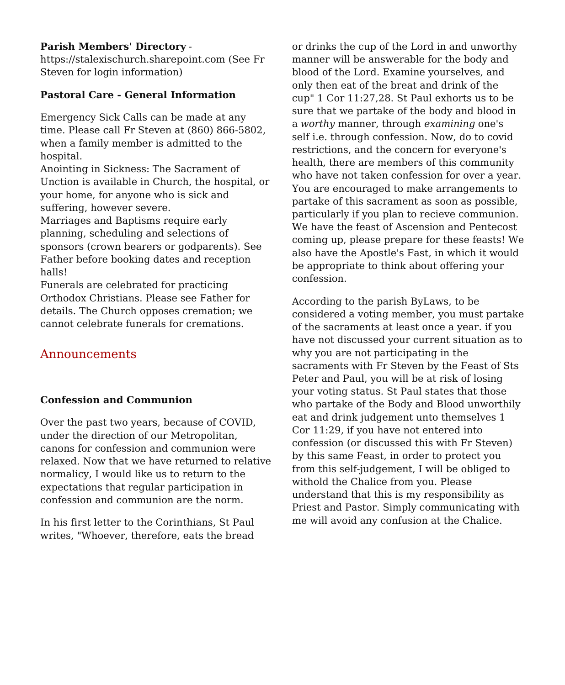#### **Parish Members' Directory** -

https://stalexischurch.sharepoint.com (See Fr Steven for login information)

## **Pastoral Care - General Information**

Emergency Sick Calls can be made at any time. Please call Fr Steven at (860) 866-5802, when a family member is admitted to the hospital.

Anointing in Sickness: The Sacrament of Unction is available in Church, the hospital, or your home, for anyone who is sick and suffering, however severe.

Marriages and Baptisms require early planning, scheduling and selections of sponsors (crown bearers or godparents). See Father before booking dates and reception halls!

Funerals are celebrated for practicing Orthodox Christians. Please see Father for details. The Church opposes cremation; we cannot celebrate funerals for cremations.

# Announcements

## **Confession and Communion**

Over the past two years, because of COVID, under the direction of our Metropolitan, canons for confession and communion were relaxed. Now that we have returned to relative normalicy, I would like us to return to the expectations that regular participation in confession and communion are the norm.

In his first letter to the Corinthians, St Paul writes, "Whoever, therefore, eats the bread or drinks the cup of the Lord in and unworthy manner will be answerable for the body and blood of the Lord. Examine yourselves, and only then eat of the breat and drink of the cup" 1 Cor 11:27,28. St Paul exhorts us to be sure that we partake of the body and blood in a *worthy* manner, through *examining* one's self i.e. through confession. Now, do to covid restrictions, and the concern for everyone's health, there are members of this community who have not taken confession for over a year. You are encouraged to make arrangements to partake of this sacrament as soon as possible, particularly if you plan to recieve communion. We have the feast of Ascension and Pentecost coming up, please prepare for these feasts! We also have the Apostle's Fast, in which it would be appropriate to think about offering your confession.

According to the parish ByLaws, to be considered a voting member, you must partake of the sacraments at least once a year. if you have not discussed your current situation as to why you are not participating in the sacraments with Fr Steven by the Feast of Sts Peter and Paul, you will be at risk of losing your voting status. St Paul states that those who partake of the Body and Blood unworthily eat and drink judgement unto themselves 1 Cor 11:29, if you have not entered into confession (or discussed this with Fr Steven) by this same Feast, in order to protect you from this self-judgement, I will be obliged to withold the Chalice from you. Please understand that this is my responsibility as Priest and Pastor. Simply communicating with me will avoid any confusion at the Chalice.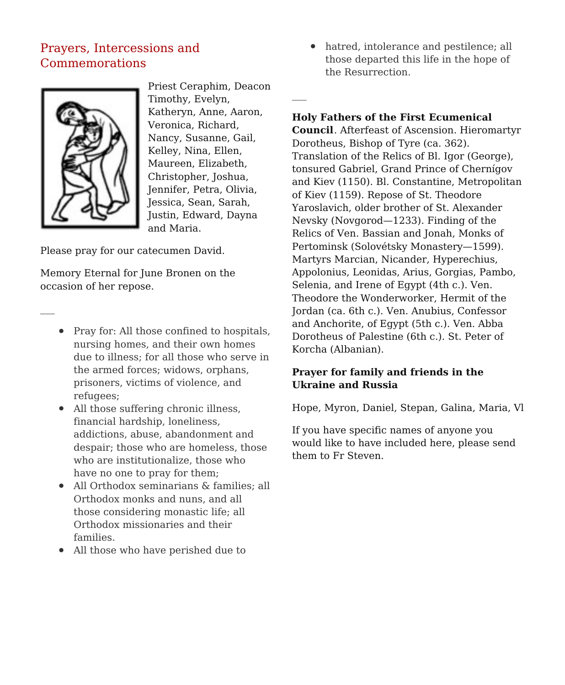# Prayers, Intercessions and Commemorations



Priest Ceraphim, Deacon Timothy, Evelyn, Katheryn, Anne, Aaron, Veronica, Richard, Nancy, Susanne, Gail, Kelley, Nina, Ellen, Maureen, Elizabeth, Christopher, Joshua, Jennifer, Petra, Olivia, Jessica, Sean, Sarah, Justin, Edward, Dayna and Maria.

Please pray for our catecumen David.

Memory Eternal for June Bronen on the occasion of her repose.

- Pray for: All those confined to hospitals, nursing homes, and their own homes due to illness; for all those who serve in the armed forces; widows, orphans, prisoners, victims of violence, and refugees;
- All those suffering chronic illness, financial hardship, loneliness, addictions, abuse, abandonment and despair; those who are homeless, those who are institutionalize, those who have no one to pray for them;
- All Orthodox seminarians & families; all Orthodox monks and nuns, and all those considering monastic life; all Orthodox missionaries and their families.
- All those who have perished due to

hatred, intolerance and pestilence; all those departed this life in the hope of the Resurrection.

**Holy Fathers of the First Ecumenical**

**Council**. Afterfeast of Ascension. Hieromartyr Dorotheus, Bishop of Tyre (ca. 362). Translation of the Relics of Bl. Igor (George), tonsured Gabriel, Grand Prince of Chernígov and Kiev (1150). Bl. Constantine, Metropolitan of Kiev (1159). Repose of St. Theodore Yaroslavich, older brother of St. Alexander Nevsky (Novgorod—1233). Finding of the Relics of Ven. Bassian and Jonah, Monks of Pertominsk (Solovétsky Monastery—1599). Martyrs Marcian, Nicander, Hyperechius, Appolonius, Leonidas, Arius, Gorgias, Pambo, Selenia, and Irene of Egypt (4th c.). Ven. Theodore the Wonderworker, Hermit of the Jordan (ca. 6th c.). Ven. Anubius, Confessor and Anchorite, of Egypt (5th c.). Ven. Abba Dorotheus of Palestine (6th c.). St. Peter of Korcha (Albanian).

## **Prayer for family and friends in the Ukraine and Russia**

Hope, Myron, Daniel, Stepan, Galina, Maria, Vl

If you have specific names of anyone you would like to have included here, please send them to Fr Steven.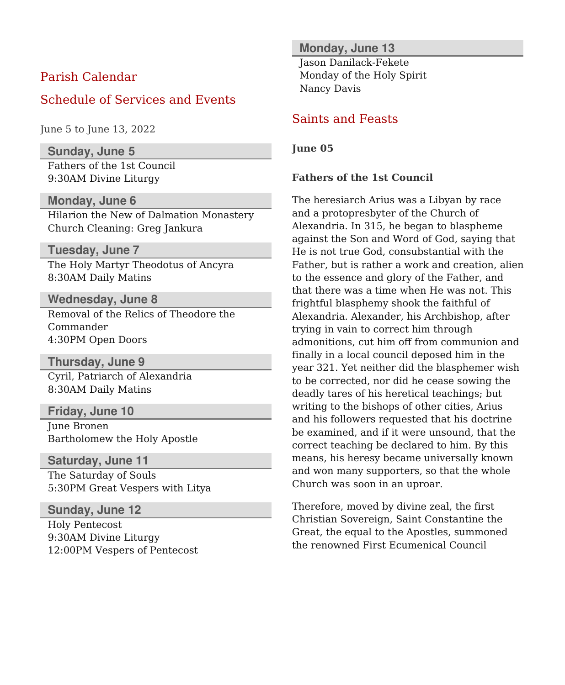## Parish Calendar

## Schedule of Services and Events

June 5 to June 13, 2022

**Sunday, June 5**

Fathers of the 1st Council 9:30AM Divine Liturgy

#### **Monday, June 6**

Hilarion the New of Dalmation Monastery Church Cleaning: Greg Jankura

#### **Tuesday, June 7**

The Holy Martyr Theodotus of Ancyra 8:30AM Daily Matins

**Wednesday, June 8** Removal of the Relics of Theodore the Commander 4:30PM Open Doors

**Thursday, June 9** Cyril, Patriarch of Alexandria 8:30AM Daily Matins

**Friday, June 10** June Bronen Bartholomew the Holy Apostle

**Saturday, June 11** The Saturday of Souls 5:30PM Great Vespers with Litya

**Sunday, June 12**

Holy Pentecost 9:30AM Divine Liturgy 12:00PM Vespers of Pentecost

#### **Monday, June 13**

Jason Danilack-Fekete Monday of the Holy Spirit Nancy Davis

## Saints and Feasts

**June 05**

#### **Fathers of the 1st Council**

The heresiarch Arius was a Libyan by race and a protopresbyter of the Church of Alexandria. In 315, he began to blaspheme against the Son and Word of God, saying that He is not true God, consubstantial with the Father, but is rather a work and creation, alien to the essence and glory of the Father, and that there was a time when He was not. This frightful blasphemy shook the faithful of Alexandria. Alexander, his Archbishop, after trying in vain to correct him through admonitions, cut him off from communion and finally in a local council deposed him in the year 321. Yet neither did the blasphemer wish to be corrected, nor did he cease sowing the deadly tares of his heretical teachings; but writing to the bishops of other cities, Arius and his followers requested that his doctrine be examined, and if it were unsound, that the correct teaching be declared to him. By this means, his heresy became universally known and won many supporters, so that the whole Church was soon in an uproar.

Therefore, moved by divine zeal, the first Christian Sovereign, Saint Constantine the Great, the equal to the Apostles, summoned the renowned First Ecumenical Council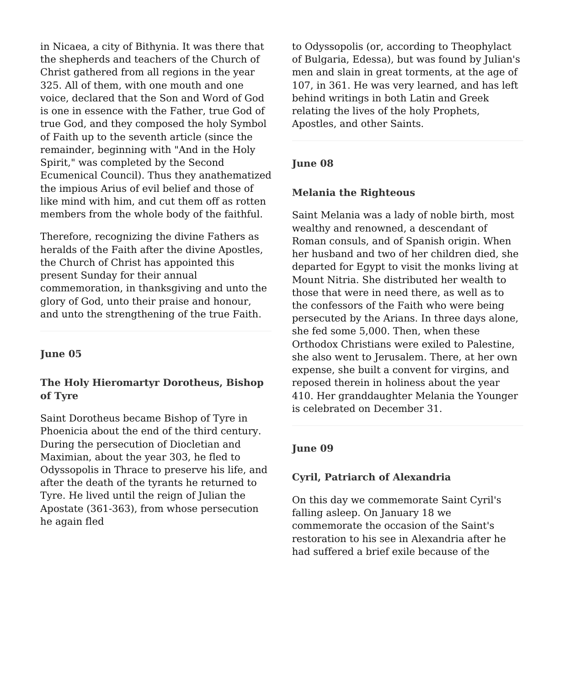in Nicaea, a city of Bithynia. It was there that the shepherds and teachers of the Church of Christ gathered from all regions in the year 325. All of them, with one mouth and one voice, declared that the Son and Word of God is one in essence with the Father, true God of true God, and they composed the holy Symbol of Faith up to the seventh article (since the remainder, beginning with "And in the Holy Spirit," was completed by the Second Ecumenical Council). Thus they anathematized the impious Arius of evil belief and those of like mind with him, and cut them off as rotten members from the whole body of the faithful.

Therefore, recognizing the divine Fathers as heralds of the Faith after the divine Apostles, the Church of Christ has appointed this present Sunday for their annual commemoration, in thanksgiving and unto the glory of God, unto their praise and honour, and unto the strengthening of the true Faith.

#### **June 05**

#### **The Holy Hieromartyr Dorotheus, Bishop of Tyre**

Saint Dorotheus became Bishop of Tyre in Phoenicia about the end of the third century. During the persecution of Diocletian and Maximian, about the year 303, he fled to Odyssopolis in Thrace to preserve his life, and after the death of the tyrants he returned to Tyre. He lived until the reign of Julian the Apostate (361-363), from whose persecution he again fled

to Odyssopolis (or, according to Theophylact of Bulgaria, Edessa), but was found by Julian's men and slain in great torments, at the age of 107, in 361. He was very learned, and has left behind writings in both Latin and Greek relating the lives of the holy Prophets, Apostles, and other Saints.

#### **June 08**

#### **Melania the Righteous**

Saint Melania was a lady of noble birth, most wealthy and renowned, a descendant of Roman consuls, and of Spanish origin. When her husband and two of her children died, she departed for Egypt to visit the monks living at Mount Nitria. She distributed her wealth to those that were in need there, as well as to the confessors of the Faith who were being persecuted by the Arians. In three days alone, she fed some 5,000. Then, when these Orthodox Christians were exiled to Palestine, she also went to Jerusalem. There, at her own expense, she built a convent for virgins, and reposed therein in holiness about the year 410. Her granddaughter Melania the Younger is celebrated on December 31.

#### **June 09**

#### **Cyril, Patriarch of Alexandria**

On this day we commemorate Saint Cyril's falling asleep. On January 18 we commemorate the occasion of the Saint's restoration to his see in Alexandria after he had suffered a brief exile because of the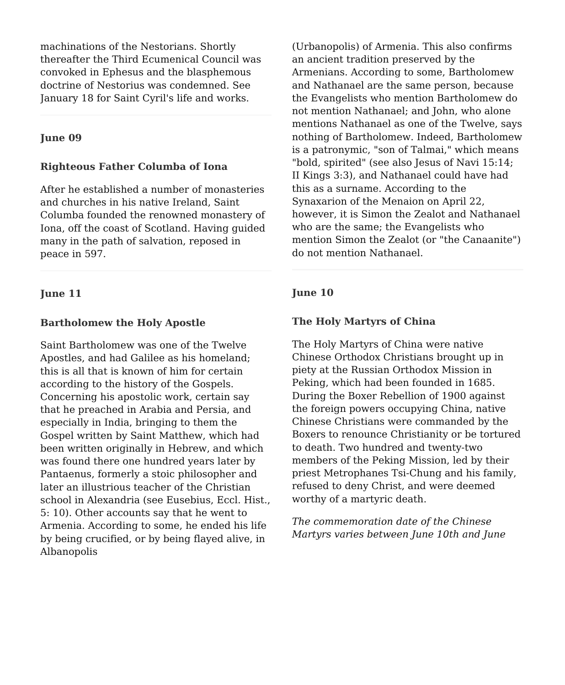machinations of the Nestorians. Shortly thereafter the Third Ecumenical Council was convoked in Ephesus and the blasphemous doctrine of Nestorius was condemned. See January 18 for Saint Cyril's life and works.

#### **June 09**

#### **Righteous Father Columba of Iona**

After he established a number of monasteries and churches in his native Ireland, Saint Columba founded the renowned monastery of Iona, off the coast of Scotland. Having guided many in the path of salvation, reposed in peace in 597.

#### **June 11**

#### **Bartholomew the Holy Apostle**

Saint Bartholomew was one of the Twelve Apostles, and had Galilee as his homeland; this is all that is known of him for certain according to the history of the Gospels. Concerning his apostolic work, certain say that he preached in Arabia and Persia, and especially in India, bringing to them the Gospel written by Saint Matthew, which had been written originally in Hebrew, and which was found there one hundred years later by Pantaenus, formerly a stoic philosopher and later an illustrious teacher of the Christian school in Alexandria (see Eusebius, Eccl. Hist., 5: 10). Other accounts say that he went to Armenia. According to some, he ended his life by being crucified, or by being flayed alive, in Albanopolis

(Urbanopolis) of Armenia. This also confirms an ancient tradition preserved by the Armenians. According to some, Bartholomew and Nathanael are the same person, because the Evangelists who mention Bartholomew do not mention Nathanael; and John, who alone mentions Nathanael as one of the Twelve, says nothing of Bartholomew. Indeed, Bartholomew is a patronymic, "son of Talmai," which means "bold, spirited" (see also Jesus of Navi 15:14; II Kings 3:3), and Nathanael could have had this as a surname. According to the Synaxarion of the Menaion on April 22, however, it is Simon the Zealot and Nathanael who are the same; the Evangelists who mention Simon the Zealot (or "the Canaanite") do not mention Nathanael.

#### **June 10**

#### **The Holy Martyrs of China**

The Holy Martyrs of China were native Chinese Orthodox Christians brought up in piety at the Russian Orthodox Mission in Peking, which had been founded in 1685. During the Boxer Rebellion of 1900 against the foreign powers occupying China, native Chinese Christians were commanded by the Boxers to renounce Christianity or be tortured to death. Two hundred and twenty-two members of the Peking Mission, led by their priest Metrophanes Tsi-Chung and his family, refused to deny Christ, and were deemed worthy of a martyric death.

*The commemoration date of the Chinese Martyrs varies between June 10th and June*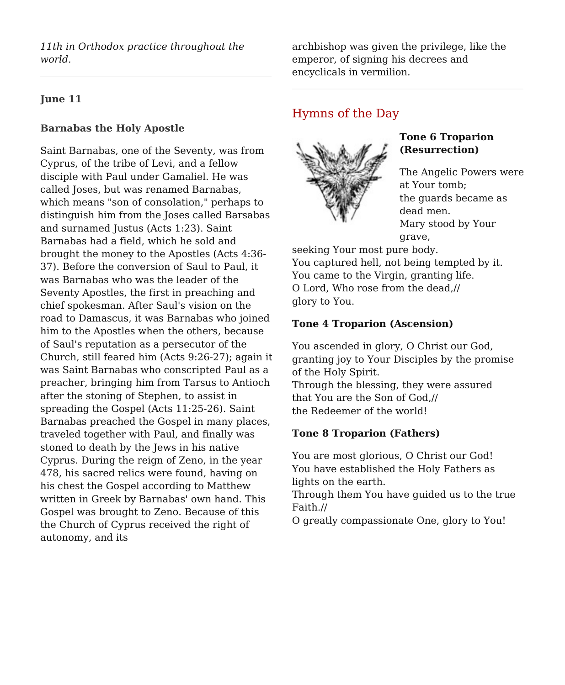*11th in Orthodox practice throughout the world.*

#### **June 11**

#### **Barnabas the Holy Apostle**

Saint Barnabas, one of the Seventy, was from Cyprus, of the tribe of Levi, and a fellow disciple with Paul under Gamaliel. He was called Joses, but was renamed Barnabas, which means "son of consolation," perhaps to distinguish him from the Joses called Barsabas and surnamed Justus (Acts 1:23). Saint Barnabas had a field, which he sold and brought the money to the Apostles (Acts 4:36- 37). Before the conversion of Saul to Paul, it was Barnabas who was the leader of the Seventy Apostles, the first in preaching and chief spokesman. After Saul's vision on the road to Damascus, it was Barnabas who joined him to the Apostles when the others, because of Saul's reputation as a persecutor of the Church, still feared him (Acts 9:26-27); again it was Saint Barnabas who conscripted Paul as a preacher, bringing him from Tarsus to Antioch after the stoning of Stephen, to assist in spreading the Gospel (Acts 11:25-26). Saint Barnabas preached the Gospel in many places, traveled together with Paul, and finally was stoned to death by the Jews in his native Cyprus. During the reign of Zeno, in the year 478, his sacred relics were found, having on his chest the Gospel according to Matthew written in Greek by Barnabas' own hand. This Gospel was brought to Zeno. Because of this the Church of Cyprus received the right of autonomy, and its

archbishop was given the privilege, like the emperor, of signing his decrees and encyclicals in vermilion.

## Hymns of the Day



## **Tone 6 Troparion (Resurrection)**

The Angelic Powers were at Your tomb; the guards became as dead men. Mary stood by Your grave,

seeking Your most pure body. You captured hell, not being tempted by it. You came to the Virgin, granting life. O Lord, Who rose from the dead,// glory to You.

## **Tone 4 Troparion (Ascension)**

You ascended in glory, O Christ our God, granting joy to Your Disciples by the promise of the Holy Spirit. Through the blessing, they were assured that You are the Son of God,// the Redeemer of the world!

## **Tone 8 Troparion (Fathers)**

You are most glorious, O Christ our God! You have established the Holy Fathers as lights on the earth. Through them You have guided us to the true Faith.// O greatly compassionate One, glory to You!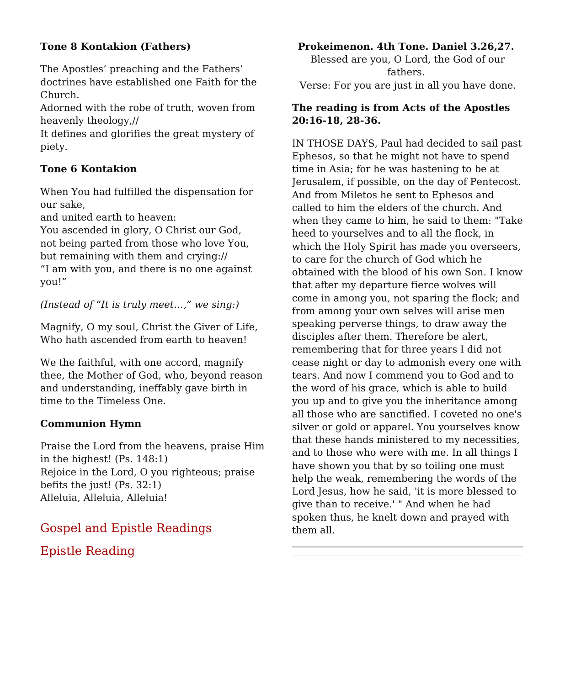## **Tone 8 Kontakion (Fathers)**

The Apostles' preaching and the Fathers' doctrines have established one Faith for the Church.

Adorned with the robe of truth, woven from heavenly theology,//

It defines and glorifies the great mystery of piety.

## **Tone 6 Kontakion**

When You had fulfilled the dispensation for our sake,

and united earth to heaven:

You ascended in glory, O Christ our God, not being parted from those who love You, but remaining with them and crying:// "I am with you, and there is no one against you!"

*(Instead of "It is truly meet…," we sing:)*

Magnify, O my soul, Christ the Giver of Life, Who hath ascended from earth to heaven!

We the faithful, with one accord, magnify thee, the Mother of God, who, beyond reason and understanding, ineffably gave birth in time to the Timeless One.

## **Communion Hymn**

Praise the Lord from the heavens, praise Him in the highest! (Ps. 148:1) Rejoice in the Lord, O you righteous; praise befits the just! (Ps. 32:1) Alleluia, Alleluia, Alleluia!

# Gospel and Epistle Readings Epistle Reading

## **Prokeimenon. 4th Tone. Daniel 3.26,27.**

Blessed are you, O Lord, the God of our fathers. Verse: For you are just in all you have done.

## **The reading is from Acts of the Apostles 20:16-18, 28-36.**

IN THOSE DAYS, Paul had decided to sail past Ephesos, so that he might not have to spend time in Asia; for he was hastening to be at Jerusalem, if possible, on the day of Pentecost. And from Miletos he sent to Ephesos and called to him the elders of the church. And when they came to him, he said to them: "Take heed to yourselves and to all the flock, in which the Holy Spirit has made you overseers, to care for the church of God which he obtained with the blood of his own Son. I know that after my departure fierce wolves will come in among you, not sparing the flock; and from among your own selves will arise men speaking perverse things, to draw away the disciples after them. Therefore be alert, remembering that for three years I did not cease night or day to admonish every one with tears. And now I commend you to God and to the word of his grace, which is able to build you up and to give you the inheritance among all those who are sanctified. I coveted no one's silver or gold or apparel. You yourselves know that these hands ministered to my necessities, and to those who were with me. In all things I have shown you that by so toiling one must help the weak, remembering the words of the Lord Jesus, how he said, 'it is more blessed to give than to receive.' " And when he had spoken thus, he knelt down and prayed with them all.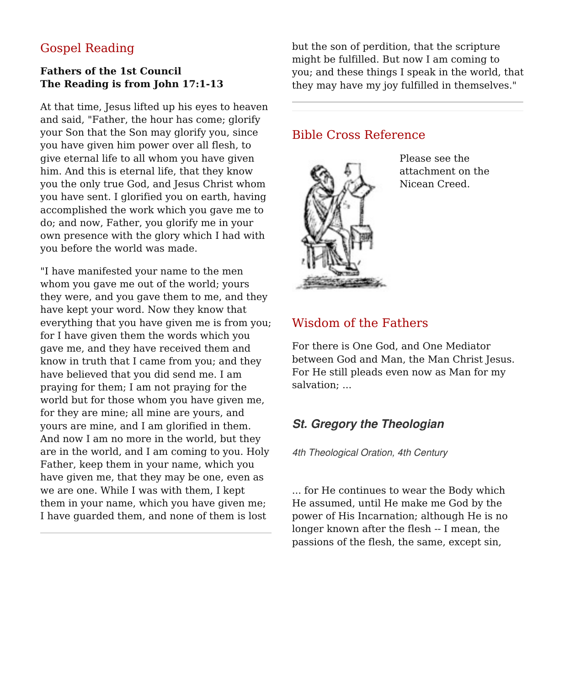# Gospel Reading

## **Fathers of the 1st Council The Reading is from John 17:1-13**

At that time, Jesus lifted up his eyes to heaven and said, "Father, the hour has come; glorify your Son that the Son may glorify you, since you have given him power over all flesh, to give eternal life to all whom you have given him. And this is eternal life, that they know you the only true God, and Jesus Christ whom you have sent. I glorified you on earth, having accomplished the work which you gave me to do; and now, Father, you glorify me in your own presence with the glory which I had with you before the world was made.

"I have manifested your name to the men whom you gave me out of the world; yours they were, and you gave them to me, and they have kept your word. Now they know that everything that you have given me is from you; for I have given them the words which you gave me, and they have received them and know in truth that I came from you; and they have believed that you did send me. I am praying for them; I am not praying for the world but for those whom you have given me, for they are mine; all mine are yours, and yours are mine, and I am glorified in them. And now I am no more in the world, but they are in the world, and I am coming to you. Holy Father, keep them in your name, which you have given me, that they may be one, even as we are one. While I was with them, I kept them in your name, which you have given me; I have guarded them, and none of them is lost

but the son of perdition, that the scripture might be fulfilled. But now I am coming to you; and these things I speak in the world, that they may have my joy fulfilled in themselves."

## Bible Cross Reference



Please see the attachment on the Nicean Creed.

## Wisdom of the Fathers

For there is One God, and One Mediator between God and Man, the Man Christ Jesus. For He still pleads even now as Man for my salvation; ...

# **St. Gregory the Theologian**

4th Theological Oration, 4th Century

... for He continues to wear the Body which He assumed, until He make me God by the power of His Incarnation; although He is no longer known after the flesh -- I mean, the passions of the flesh, the same, except sin,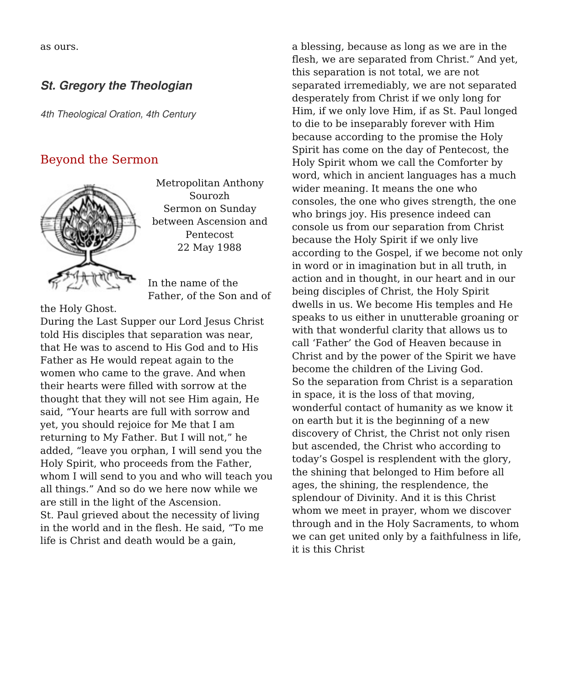as ours.

## **St. Gregory the Theologian**

4th Theological Oration, 4th Century

# Beyond the Sermon



Metropolitan Anthony Sourozh Sermon on Sunday between Ascension and Pentecost 22 May 1988

In the name of the Father, of the Son and of

the Holy Ghost.

During the Last Supper our Lord Jesus Christ told His disciples that separation was near, that He was to ascend to His God and to His Father as He would repeat again to the women who came to the grave. And when their hearts were filled with sorrow at the thought that they will not see Him again, He said, "Your hearts are full with sorrow and yet, you should rejoice for Me that I am returning to My Father. But I will not," he added, "leave you orphan, I will send you the Holy Spirit, who proceeds from the Father, whom I will send to you and who will teach you all things." And so do we here now while we are still in the light of the Ascension. St. Paul grieved about the necessity of living in the world and in the flesh. He said, "To me life is Christ and death would be a gain,

a blessing, because as long as we are in the flesh, we are separated from Christ." And yet, this separation is not total, we are not separated irremediably, we are not separated desperately from Christ if we only long for Him, if we only love Him, if as St. Paul longed to die to be inseparably forever with Him because according to the promise the Holy Spirit has come on the day of Pentecost, the Holy Spirit whom we call the Comforter by word, which in ancient languages has a much wider meaning. It means the one who consoles, the one who gives strength, the one who brings joy. His presence indeed can console us from our separation from Christ because the Holy Spirit if we only live according to the Gospel, if we become not only in word or in imagination but in all truth, in action and in thought, in our heart and in our being disciples of Christ, the Holy Spirit dwells in us. We become His temples and He speaks to us either in unutterable groaning or with that wonderful clarity that allows us to call 'Father' the God of Heaven because in Christ and by the power of the Spirit we have become the children of the Living God. So the separation from Christ is a separation in space, it is the loss of that moving, wonderful contact of humanity as we know it on earth but it is the beginning of a new discovery of Christ, the Christ not only risen but ascended, the Christ who according to today's Gospel is resplendent with the glory, the shining that belonged to Him before all ages, the shining, the resplendence, the splendour of Divinity. And it is this Christ whom we meet in prayer, whom we discover through and in the Holy Sacraments, to whom we can get united only by a faithfulness in life, it is this Christ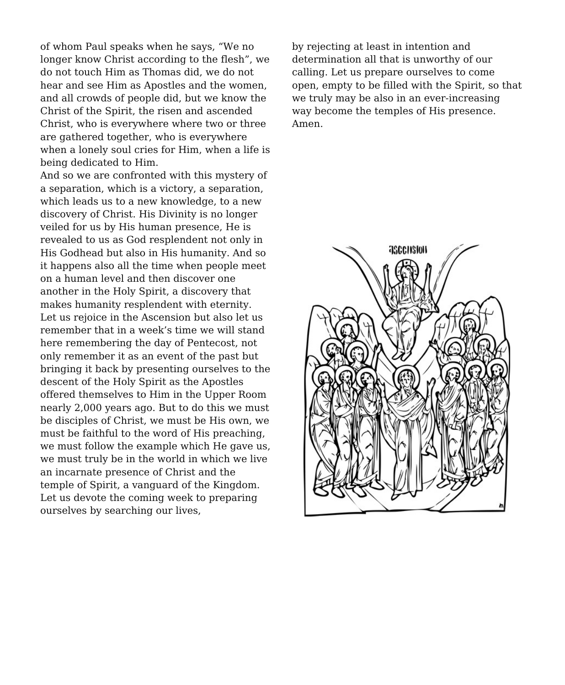of whom Paul speaks when he says, "We no longer know Christ according to the flesh", we do not touch Him as Thomas did, we do not hear and see Him as Apostles and the women, and all crowds of people did, but we know the Christ of the Spirit, the risen and ascended Christ, who is everywhere where two or three are gathered together, who is everywhere when a lonely soul cries for Him, when a life is being dedicated to Him.

And so we are confronted with this mystery of a separation, which is a victory, a separation, which leads us to a new knowledge, to a new discovery of Christ. His Divinity is no longer veiled for us by His human presence, He is revealed to us as God resplendent not only in His Godhead but also in His humanity. And so it happens also all the time when people meet on a human level and then discover one another in the Holy Spirit, a discovery that makes humanity resplendent with eternity. Let us rejoice in the Ascension but also let us remember that in a week's time we will stand here remembering the day of Pentecost, not only remember it as an event of the past but bringing it back by presenting ourselves to the descent of the Holy Spirit as the Apostles offered themselves to Him in the Upper Room nearly 2,000 years ago. But to do this we must be disciples of Christ, we must be His own, we must be faithful to the word of His preaching, we must follow the example which He gave us, we must truly be in the world in which we live an incarnate presence of Christ and the temple of Spirit, a vanguard of the Kingdom. Let us devote the coming week to preparing ourselves by searching our lives,

by rejecting at least in intention and determination all that is unworthy of our calling. Let us prepare ourselves to come open, empty to be filled with the Spirit, so that we truly may be also in an ever-increasing way become the temples of His presence. Amen.